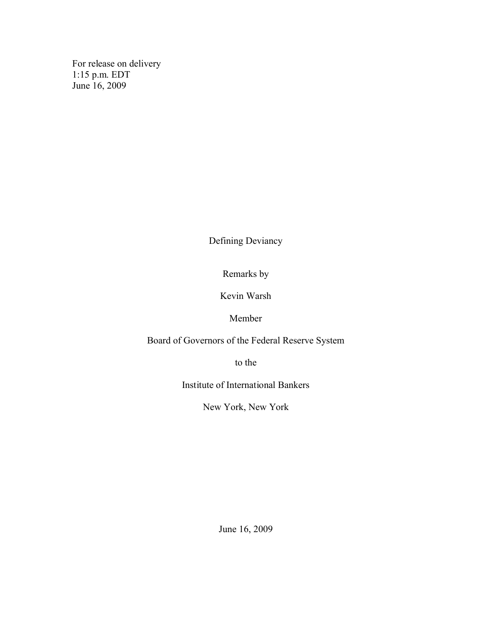For release on delivery 1:15 p.m. EDT June 16, 2009

Defining Deviancy

Remarks by

Kevin Warsh

Member

Board of Governors of the Federal Reserve System

to the

Institute of International Bankers

New York, New York

June 16, 2009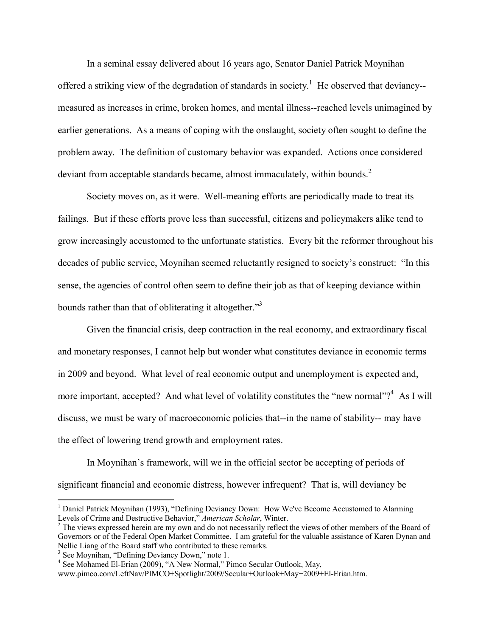In a seminal essay delivered about 16 years ago, Senator Daniel Patrick Moynihan offered a striking view of the degradation of standards in society.<sup>1</sup> He observed that deviancy-measured as increases in crime, broken homes, and mental illness--reached levels unimagined by earlier generations. As a means of coping with the onslaught, society often sought to define the problem away. The definition of customary behavior was expanded. Actions once considered deviant from acceptable standards became, almost immaculately, within bounds.<sup>2</sup>

Society moves on, as it were. Well-meaning efforts are periodically made to treat its failings. But if these efforts prove less than successful, citizens and policymakers alike tend to grow increasingly accustomed to the unfortunate statistics. Every bit the reformer throughout his decades of public service, Moynihan seemed reluctantly resigned to society's construct: "In this sense, the agencies of control often seem to define their job as that of keeping deviance within bounds rather than that of obliterating it altogether."<sup>3</sup>

Given the financial crisis, deep contraction in the real economy, and extraordinary fiscal and monetary responses, I cannot help but wonder what constitutes deviance in economic terms in 2009 and beyond. What level of real economic output and unemployment is expected and, more important, accepted? And what level of volatility constitutes the "new normal"?<sup>4</sup> As I will discuss, we must be wary of macroeconomic policies that--in the name of stability-- may have the effect of lowering trend growth and employment rates.

In Moynihan's framework, will we in the official sector be accepting of periods of significant financial and economic distress, however infrequent? That is, will deviancy be

 $\overline{a}$ 

<sup>&</sup>lt;sup>1</sup> Daniel Patrick Moynihan (1993), "Defining Deviancy Down: How We've Become Accustomed to Alarming Levels of Crime and Destructive Behavior," *American Scholar*, Winter.

<sup>&</sup>lt;sup>2</sup> The views expressed herein are my own and do not necessarily reflect the views of other members of the Board of Governors or of the Federal Open Market Committee. I am grateful for the valuable assistance of Karen Dynan and Nellie Liang of the Board staff who contributed to these remarks.

<sup>&</sup>lt;sup>3</sup> See Moynihan, "Defining Deviancy Down," note 1.

<sup>&</sup>lt;sup>4</sup> See Mohamed El-Erian (2009), "A New Normal," Pimco Secular Outlook, May,

www.pimco.com/LeftNav/PIMCO+Spotlight/2009/Secular+Outlook+May+2009+El-Erian.htm.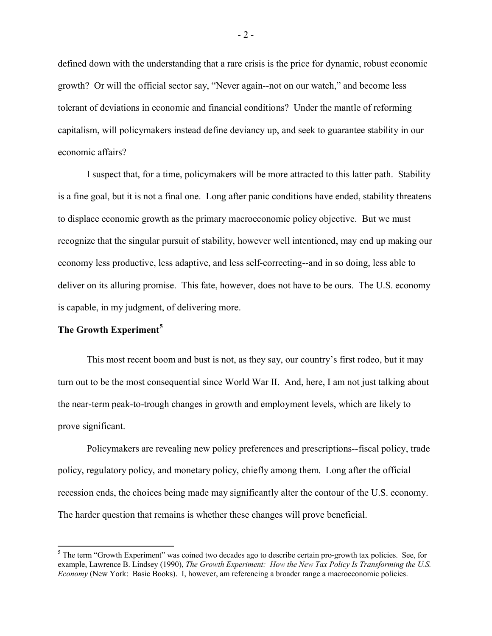defined down with the understanding that a rare crisis is the price for dynamic, robust economic growth? Or will the official sector say, "Never again--not on our watch," and become less tolerant of deviations in economic and financial conditions? Under the mantle of reforming capitalism, will policymakers instead define deviancy up, and seek to guarantee stability in our economic affairs?

I suspect that, for a time, policymakers will be more attracted to this latter path. Stability is a fine goal, but it is not a final one. Long after panic conditions have ended, stability threatens to displace economic growth as the primary macroeconomic policy objective. But we must recognize that the singular pursuit of stability, however well intentioned, may end up making our economy less productive, less adaptive, and less self-correcting--and in so doing, less able to deliver on its alluring promise. This fate, however, does not have to be ours. The U.S. economy is capable, in my judgment, of delivering more.

# **The Growth Experiment<sup>5</sup>**

 $\overline{a}$ 

This most recent boom and bust is not, as they say, our country's first rodeo, but it may turn out to be the most consequential since World War II. And, here, I am not just talking about the near-term peak-to-trough changes in growth and employment levels, which are likely to prove significant.

Policymakers are revealing new policy preferences and prescriptions--fiscal policy, trade policy, regulatory policy, and monetary policy, chiefly among them. Long after the official recession ends, the choices being made may significantly alter the contour of the U.S. economy. The harder question that remains is whether these changes will prove beneficial.

- 2 -

<sup>&</sup>lt;sup>5</sup> The term "Growth Experiment" was coined two decades ago to describe certain pro-growth tax policies. See, for example, Lawrence B. Lindsey (1990), *The Growth Experiment: How the New Tax Policy Is Transforming the U.S. Economy* (New York: Basic Books). I, however, am referencing a broader range a macroeconomic policies.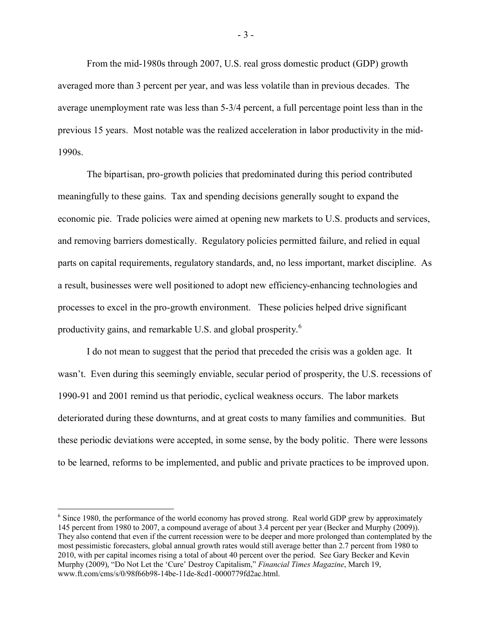From the mid-1980s through 2007, U.S. real gross domestic product (GDP) growth averaged more than 3 percent per year, and was less volatile than in previous decades. The average unemployment rate was less than 5-3/4 percent, a full percentage point less than in the previous 15 years. Most notable was the realized acceleration in labor productivity in the mid-1990s.

The bipartisan, pro-growth policies that predominated during this period contributed meaningfully to these gains. Tax and spending decisions generally sought to expand the economic pie. Trade policies were aimed at opening new markets to U.S. products and services, and removing barriers domestically. Regulatory policies permitted failure, and relied in equal parts on capital requirements, regulatory standards, and, no less important, market discipline. As a result, businesses were well positioned to adopt new efficiency-enhancing technologies and processes to excel in the pro-growth environment. These policies helped drive significant productivity gains, and remarkable U.S. and global prosperity.<sup>6</sup>

I do not mean to suggest that the period that preceded the crisis was a golden age. It wasn't. Even during this seemingly enviable, secular period of prosperity, the U.S. recessions of 1990-91 and 2001 remind us that periodic, cyclical weakness occurs. The labor markets deteriorated during these downturns, and at great costs to many families and communities. But these periodic deviations were accepted, in some sense, by the body politic. There were lessons to be learned, reforms to be implemented, and public and private practices to be improved upon.

 $\overline{a}$ 

- 3 -

<sup>&</sup>lt;sup>6</sup> Since 1980, the performance of the world economy has proved strong. Real world GDP grew by approximately 145 percent from 1980 to 2007, a compound average of about 3.4 percent per year (Becker and Murphy (2009)). They also contend that even if the current recession were to be deeper and more prolonged than contemplated by the most pessimistic forecasters, global annual growth rates would still average better than 2.7 percent from 1980 to 2010, with per capital incomes rising a total of about 40 percent over the period. See Gary Becker and Kevin Murphy (2009), "Do Not Let the 'Cure' Destroy Capitalism," *Financial Times Magazine*, March 19, www.ft.com/cms/s/0/98f66b98-14be-11de-8cd1-0000779fd2ac.html.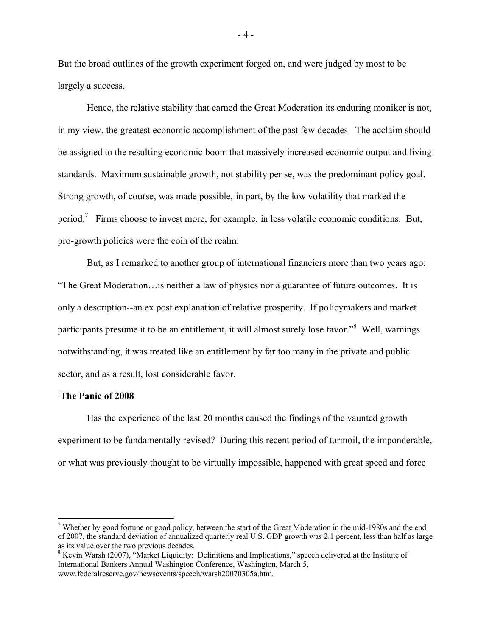But the broad outlines of the growth experiment forged on, and were judged by most to be largely a success.

Hence, the relative stability that earned the Great Moderation its enduring moniker is not, in my view, the greatest economic accomplishment of the past few decades. The acclaim should be assigned to the resulting economic boom that massively increased economic output and living standards. Maximum sustainable growth, not stability per se, was the predominant policy goal. Strong growth, of course, was made possible, in part, by the low volatility that marked the period.<sup>7</sup> Firms choose to invest more, for example, in less volatile economic conditions. But, pro-growth policies were the coin of the realm.

But, as I remarked to another group of international financiers more than two years ago: "The Great Moderation…is neither a law of physics nor a guarantee of future outcomes. It is only a description--an ex post explanation of relative prosperity. If policymakers and market participants presume it to be an entitlement, it will almost surely lose favor."<sup>8</sup> Well, warnings notwithstanding, it was treated like an entitlement by far too many in the private and public sector, and as a result, lost considerable favor.

### **The Panic of 2008**

 $\overline{a}$ 

Has the experience of the last 20 months caused the findings of the vaunted growth experiment to be fundamentally revised? During this recent period of turmoil, the imponderable, or what was previously thought to be virtually impossible, happened with great speed and force

- 4 -

<sup>&</sup>lt;sup>7</sup> Whether by good fortune or good policy, between the start of the Great Moderation in the mid-1980s and the end of 2007, the standard deviation of annualized quarterly real U.S. GDP growth was 2.1 percent, less than half as large as its value over the two previous decades.

 $8$  Kevin Warsh (2007), "Market Liquidity: Definitions and Implications," speech delivered at the Institute of International Bankers Annual Washington Conference, Washington, March 5, www.federalreserve.gov/newsevents/speech/warsh20070305a.htm.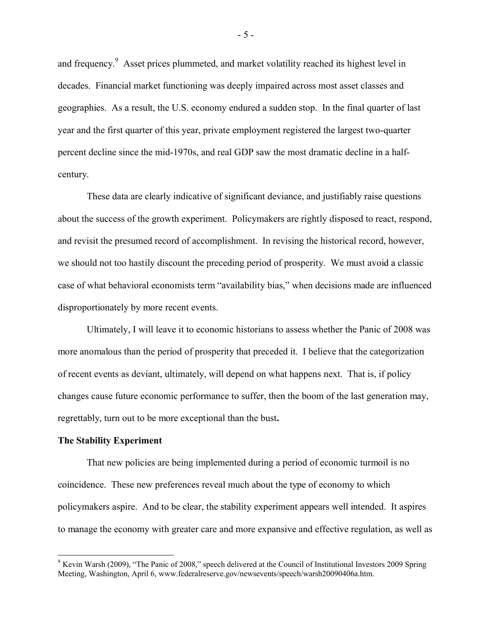and frequency.<sup>9</sup> Asset prices plummeted, and market volatility reached its highest level in decades. Financial market functioning was deeply impaired across most asset classes and geographies. As a result, the U.S. economy endured a sudden stop. In the final quarter of last year and the first quarter of this year, private employment registered the largest two-quarter percent decline since the mid-1970s, and real GDP saw the most dramatic decline in a halfcentury.

These data are clearly indicative of significant deviance, and justifiably raise questions about the success of the growth experiment. Policymakers are rightly disposed to react, respond, and revisit the presumed record of accomplishment. In revising the historical record, however, we should not too hastily discount the preceding period of prosperity. We must avoid a classic case of what behavioral economists term "availability bias," when decisions made are influenced disproportionately by more recent events.

Ultimately, I will leave it to economic historians to assess whether the Panic of 2008 was more anomalous than the period of prosperity that preceded it. I believe that the categorization of recent events as deviant, ultimately, will depend on what happens next. That is, if policy changes cause future economic performance to suffer, then the boom of the last generation may, regrettably, turn out to be more exceptional than the bust**.**

## **The Stability Experiment**

 $\overline{a}$ 

That new policies are being implemented during a period of economic turmoil is no coincidence. These new preferences reveal much about the type of economy to which policymakers aspire. And to be clear, the stability experiment appears well intended. It aspires to manage the economy with greater care and more expansive and effective regulation, as well as

- 5 -

 $9$  Kevin Warsh (2009), "The Panic of 2008," speech delivered at the Council of Institutional Investors 2009 Spring Meeting, Washington, April 6, www.federalreserve.gov/newsevents/speech/warsh20090406a.htm.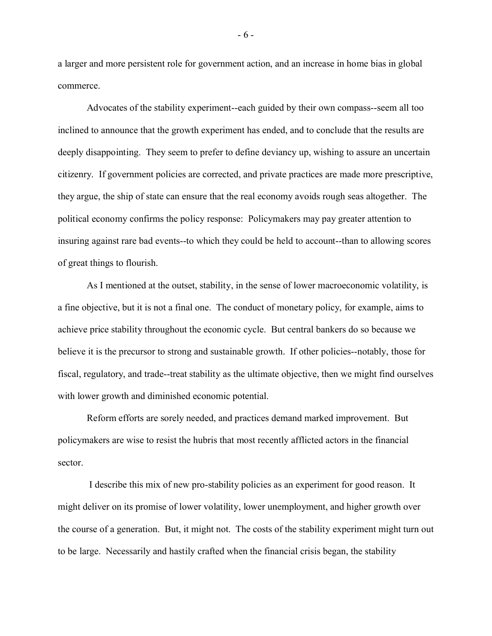a larger and more persistent role for government action, and an increase in home bias in global commerce.

 Advocates of the stability experiment--each guided by their own compass--seem all too inclined to announce that the growth experiment has ended, and to conclude that the results are deeply disappointing. They seem to prefer to define deviancy up, wishing to assure an uncertain citizenry. If government policies are corrected, and private practices are made more prescriptive, they argue, the ship of state can ensure that the real economy avoids rough seas altogether. The political economy confirms the policy response: Policymakers may pay greater attention to insuring against rare bad events--to which they could be held to account--than to allowing scores of great things to flourish.

As I mentioned at the outset, stability, in the sense of lower macroeconomic volatility, is a fine objective, but it is not a final one. The conduct of monetary policy, for example, aims to achieve price stability throughout the economic cycle. But central bankers do so because we believe it is the precursor to strong and sustainable growth. If other policies--notably, those for fiscal, regulatory, and trade--treat stability as the ultimate objective, then we might find ourselves with lower growth and diminished economic potential.

Reform efforts are sorely needed, and practices demand marked improvement. But policymakers are wise to resist the hubris that most recently afflicted actors in the financial sector.

I describe this mix of new pro-stability policies as an experiment for good reason. It might deliver on its promise of lower volatility, lower unemployment, and higher growth over the course of a generation. But, it might not. The costs of the stability experiment might turn out to be large. Necessarily and hastily crafted when the financial crisis began, the stability

- 6 -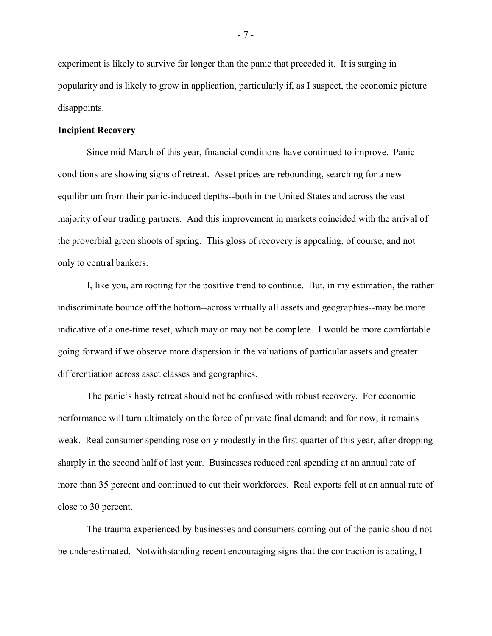experiment is likely to survive far longer than the panic that preceded it. It is surging in popularity and is likely to grow in application, particularly if, as I suspect, the economic picture disappoints.

# **Incipient Recovery**

Since mid-March of this year, financial conditions have continued to improve. Panic conditions are showing signs of retreat. Asset prices are rebounding, searching for a new equilibrium from their panic-induced depths--both in the United States and across the vast majority of our trading partners. And this improvement in markets coincided with the arrival of the proverbial green shoots of spring. This gloss of recovery is appealing, of course, and not only to central bankers.

I, like you, am rooting for the positive trend to continue. But, in my estimation, the rather indiscriminate bounce off the bottom--across virtually all assets and geographies--may be more indicative of a one-time reset, which may or may not be complete. I would be more comfortable going forward if we observe more dispersion in the valuations of particular assets and greater differentiation across asset classes and geographies.

The panic's hasty retreat should not be confused with robust recovery. For economic performance will turn ultimately on the force of private final demand; and for now, it remains weak. Real consumer spending rose only modestly in the first quarter of this year, after dropping sharply in the second half of last year. Businesses reduced real spending at an annual rate of more than 35 percent and continued to cut their workforces. Real exports fell at an annual rate of close to 30 percent.

The trauma experienced by businesses and consumers coming out of the panic should not be underestimated. Notwithstanding recent encouraging signs that the contraction is abating, I

- 7 -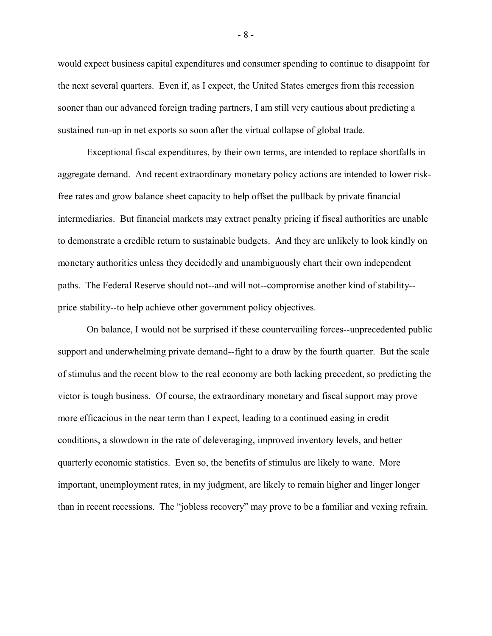would expect business capital expenditures and consumer spending to continue to disappoint for the next several quarters. Even if, as I expect, the United States emerges from this recession sooner than our advanced foreign trading partners, I am still very cautious about predicting a sustained run-up in net exports so soon after the virtual collapse of global trade.

Exceptional fiscal expenditures, by their own terms, are intended to replace shortfalls in aggregate demand. And recent extraordinary monetary policy actions are intended to lower riskfree rates and grow balance sheet capacity to help offset the pullback by private financial intermediaries. But financial markets may extract penalty pricing if fiscal authorities are unable to demonstrate a credible return to sustainable budgets. And they are unlikely to look kindly on monetary authorities unless they decidedly and unambiguously chart their own independent paths. The Federal Reserve should not--and will not--compromise another kind of stability- price stability--to help achieve other government policy objectives.

On balance, I would not be surprised if these countervailing forces--unprecedented public support and underwhelming private demand--fight to a draw by the fourth quarter. But the scale of stimulus and the recent blow to the real economy are both lacking precedent, so predicting the victor is tough business. Of course, the extraordinary monetary and fiscal support may prove more efficacious in the near term than I expect, leading to a continued easing in credit conditions, a slowdown in the rate of deleveraging, improved inventory levels, and better quarterly economic statistics. Even so, the benefits of stimulus are likely to wane. More important, unemployment rates, in my judgment, are likely to remain higher and linger longer than in recent recessions. The "jobless recovery" may prove to be a familiar and vexing refrain.

- 8 -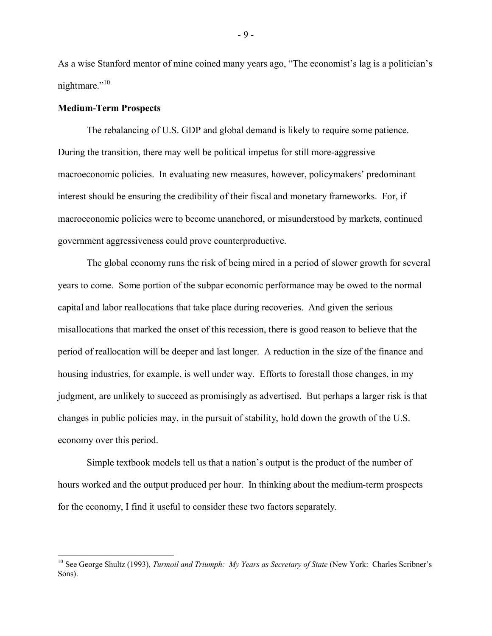As a wise Stanford mentor of mine coined many years ago, "The economist's lag is a politician's nightmare."<sup>10</sup>

### **Medium-Term Prospects**

 $\overline{a}$ 

The rebalancing of U.S. GDP and global demand is likely to require some patience. During the transition, there may well be political impetus for still more-aggressive macroeconomic policies. In evaluating new measures, however, policymakers' predominant interest should be ensuring the credibility of their fiscal and monetary frameworks. For, if macroeconomic policies were to become unanchored, or misunderstood by markets, continued government aggressiveness could prove counterproductive.

The global economy runs the risk of being mired in a period of slower growth for several years to come. Some portion of the subpar economic performance may be owed to the normal capital and labor reallocations that take place during recoveries. And given the serious misallocations that marked the onset of this recession, there is good reason to believe that the period of reallocation will be deeper and last longer. A reduction in the size of the finance and housing industries, for example, is well under way. Efforts to forestall those changes, in my judgment, are unlikely to succeed as promisingly as advertised. But perhaps a larger risk is that changes in public policies may, in the pursuit of stability, hold down the growth of the U.S. economy over this period.

Simple textbook models tell us that a nation's output is the product of the number of hours worked and the output produced per hour. In thinking about the medium-term prospects for the economy, I find it useful to consider these two factors separately.

- 9 -

<sup>&</sup>lt;sup>10</sup> See George Shultz (1993), *Turmoil and Triumph: My Years as Secretary of State* (New York: Charles Scribner's Sons).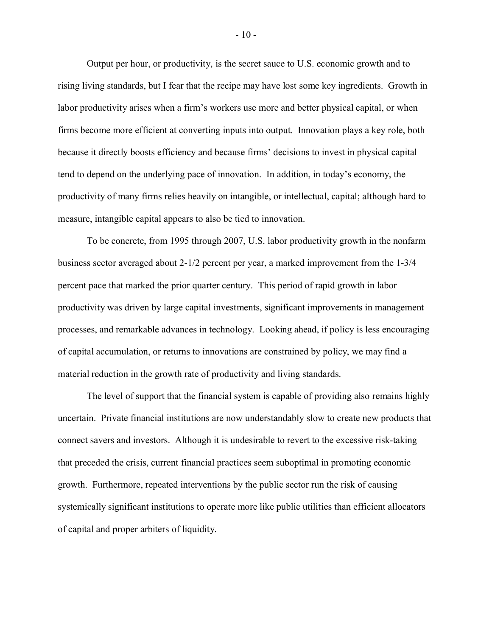Output per hour, or productivity, is the secret sauce to U.S. economic growth and to rising living standards, but I fear that the recipe may have lost some key ingredients. Growth in labor productivity arises when a firm's workers use more and better physical capital, or when firms become more efficient at converting inputs into output. Innovation plays a key role, both because it directly boosts efficiency and because firms' decisions to invest in physical capital tend to depend on the underlying pace of innovation. In addition, in today's economy, the productivity of many firms relies heavily on intangible, or intellectual, capital; although hard to measure, intangible capital appears to also be tied to innovation.

To be concrete, from 1995 through 2007, U.S. labor productivity growth in the nonfarm business sector averaged about 2-1/2 percent per year, a marked improvement from the 1-3/4 percent pace that marked the prior quarter century. This period of rapid growth in labor productivity was driven by large capital investments, significant improvements in management processes, and remarkable advances in technology. Looking ahead, if policy is less encouraging of capital accumulation, or returns to innovations are constrained by policy, we may find a material reduction in the growth rate of productivity and living standards.

The level of support that the financial system is capable of providing also remains highly uncertain. Private financial institutions are now understandably slow to create new products that connect savers and investors. Although it is undesirable to revert to the excessive risk-taking that preceded the crisis, current financial practices seem suboptimal in promoting economic growth. Furthermore, repeated interventions by the public sector run the risk of causing systemically significant institutions to operate more like public utilities than efficient allocators of capital and proper arbiters of liquidity.

- 10 -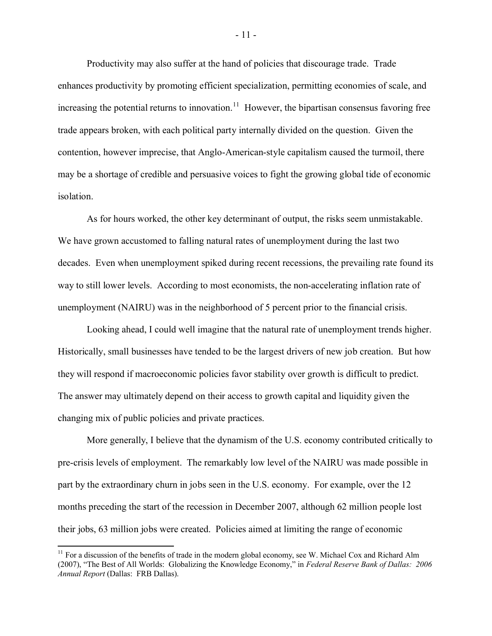Productivity may also suffer at the hand of policies that discourage trade. Trade enhances productivity by promoting efficient specialization, permitting economies of scale, and increasing the potential returns to innovation.<sup>11</sup> However, the bipartisan consensus favoring free trade appears broken, with each political party internally divided on the question. Given the contention, however imprecise, that Anglo-American-style capitalism caused the turmoil, there may be a shortage of credible and persuasive voices to fight the growing global tide of economic isolation.

As for hours worked, the other key determinant of output, the risks seem unmistakable. We have grown accustomed to falling natural rates of unemployment during the last two decades. Even when unemployment spiked during recent recessions, the prevailing rate found its way to still lower levels. According to most economists, the non-accelerating inflation rate of unemployment (NAIRU) was in the neighborhood of 5 percent prior to the financial crisis.

Looking ahead, I could well imagine that the natural rate of unemployment trends higher. Historically, small businesses have tended to be the largest drivers of new job creation. But how they will respond if macroeconomic policies favor stability over growth is difficult to predict. The answer may ultimately depend on their access to growth capital and liquidity given the changing mix of public policies and private practices.

More generally, I believe that the dynamism of the U.S. economy contributed critically to pre-crisis levels of employment. The remarkably low level of the NAIRU was made possible in part by the extraordinary churn in jobs seen in the U.S. economy. For example, over the 12 months preceding the start of the recession in December 2007, although 62 million people lost their jobs, 63 million jobs were created. Policies aimed at limiting the range of economic

 $\overline{a}$ 

- 11 -

 $11$  For a discussion of the benefits of trade in the modern global economy, see W. Michael Cox and Richard Alm (2007), "The Best of All Worlds: Globalizing the Knowledge Economy," in *Federal Reserve Bank of Dallas: 2006 Annual Report* (Dallas: FRB Dallas).